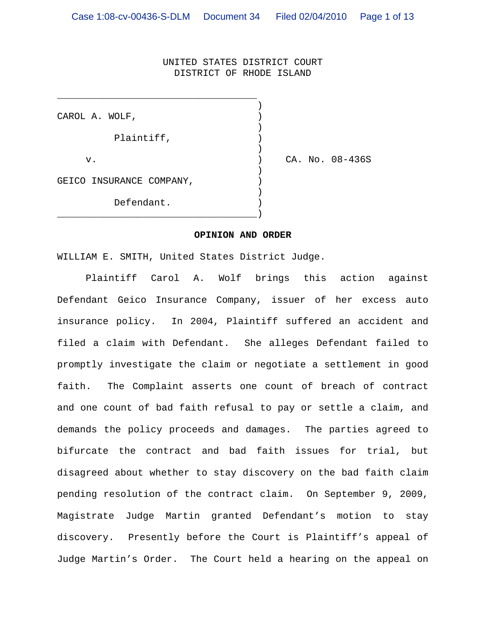#### UNITED STATES DISTRICT COURT DISTRICT OF RHODE ISLAND

| CAROL A. WOLF,           |                 |
|--------------------------|-----------------|
| Plaintiff,               |                 |
| v.                       | CA. No. 08-436S |
| GEICO INSURANCE COMPANY, |                 |
| Defendant.               |                 |

#### **OPINION AND ORDER**

WILLIAM E. SMITH, United States District Judge.

\_\_\_\_\_\_\_\_\_\_\_\_\_\_\_\_\_\_\_\_\_\_\_\_\_\_\_\_\_\_\_\_\_\_\_

 Plaintiff Carol A. Wolf brings this action against Defendant Geico Insurance Company, issuer of her excess auto insurance policy. In 2004, Plaintiff suffered an accident and filed a claim with Defendant. She alleges Defendant failed to promptly investigate the claim or negotiate a settlement in good faith. The Complaint asserts one count of breach of contract and one count of bad faith refusal to pay or settle a claim, and demands the policy proceeds and damages. The parties agreed to bifurcate the contract and bad faith issues for trial, but disagreed about whether to stay discovery on the bad faith claim pending resolution of the contract claim. On September 9, 2009, Magistrate Judge Martin granted Defendant's motion to stay discovery. Presently before the Court is Plaintiff's appeal of Judge Martin's Order. The Court held a hearing on the appeal on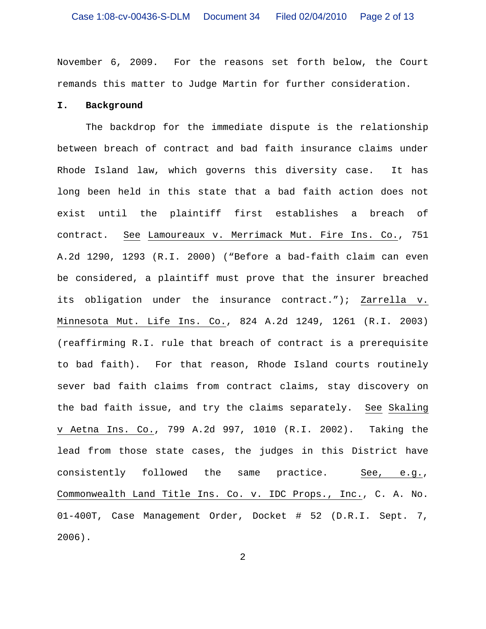November 6, 2009. For the reasons set forth below, the Court remands this matter to Judge Martin for further consideration.

### **I. Background**

The backdrop for the immediate dispute is the relationship between breach of contract and bad faith insurance claims under Rhode Island law, which governs this diversity case. It has long been held in this state that a bad faith action does not exist until the plaintiff first establishes a breach of contract. See Lamoureaux v. Merrimack Mut. Fire Ins. Co., 751 A.2d 1290, 1293 (R.I. 2000) ("Before a bad-faith claim can even be considered, a plaintiff must prove that the insurer breached its obligation under the insurance contract."); Zarrella v. Minnesota Mut. Life Ins. Co., 824 A.2d 1249, 1261 (R.I. 2003) (reaffirming R.I. rule that breach of contract is a prerequisite to bad faith). For that reason, Rhode Island courts routinely sever bad faith claims from contract claims, stay discovery on the bad faith issue, and try the claims separately. See Skaling v Aetna Ins. Co., 799 A.2d 997, 1010 (R.I. 2002). Taking the lead from those state cases, the judges in this District have consistently followed the same practice. See, e.g., Commonwealth Land Title Ins. Co. v. IDC Props., Inc., C. A. No. 01-400T, Case Management Order, Docket # 52 (D.R.I. Sept. 7, 2006).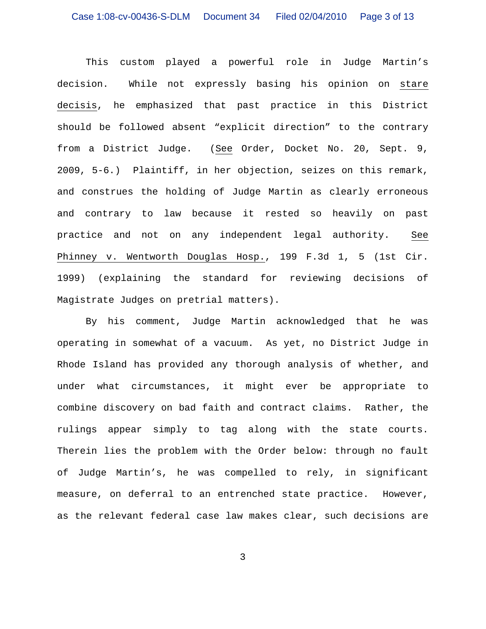This custom played a powerful role in Judge Martin's decision. While not expressly basing his opinion on stare decisis, he emphasized that past practice in this District should be followed absent "explicit direction" to the contrary from a District Judge. (See Order, Docket No. 20, Sept. 9, 2009, 5-6.) Plaintiff, in her objection, seizes on this remark, and construes the holding of Judge Martin as clearly erroneous and contrary to law because it rested so heavily on past practice and not on any independent legal authority. See Phinney v. Wentworth Douglas Hosp., 199 F.3d 1, 5 (1st Cir. 1999) (explaining the standard for reviewing decisions of Magistrate Judges on pretrial matters).

By his comment, Judge Martin acknowledged that he was operating in somewhat of a vacuum. As yet, no District Judge in Rhode Island has provided any thorough analysis of whether, and under what circumstances, it might ever be appropriate to combine discovery on bad faith and contract claims. Rather, the rulings appear simply to tag along with the state courts. Therein lies the problem with the Order below: through no fault of Judge Martin's, he was compelled to rely, in significant measure, on deferral to an entrenched state practice. However, as the relevant federal case law makes clear, such decisions are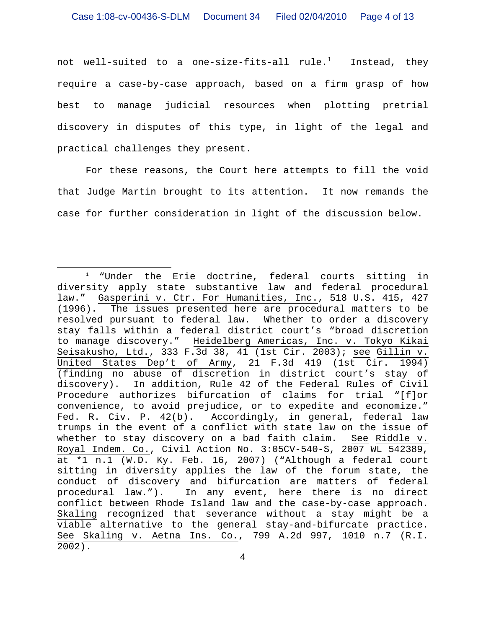not well-suited to a one-size-fits-all rule. $^1$  -Instead, they require a case-by-case approach, based on a firm grasp of how best to manage judicial resources when plotting pretrial discovery in disputes of this type, in light of the legal and practical challenges they present.

For these reasons, the Court here attempts to fill the void that Judge Martin brought to its attention. It now remands the case for further consideration in light of the discussion below.

<sup>&</sup>lt;sup>1</sup> "Under the Erie doctrine, federal courts sitting in diversity apply state substantive law and federal procedural law." Gasperini v. Ctr. For Humanities, Inc., 518 U.S. 415, 427 (1996). The issues presented here are procedural matters to be resolved pursuant to federal law. Whether to order a discovery stay falls within a federal district court's "broad discretion to manage discovery." Heidelberg Americas, Inc. v. Tokyo Kikai Seisakusho, Ltd., 333 F.3d 38, 41 (1st Cir. 2003); see Gillin v. United States Dep't of Army, 21 F.3d 419 (1st Cir. 1994) (finding no abuse of discretion in district court's stay of discovery). In addition, Rule 42 of the Federal Rules of Civil Procedure authorizes bifurcation of claims for trial "[f]or convenience, to avoid prejudice, or to expedite and economize." Fed. R. Civ. P. 42(b). Accordingly, in general, federal law trumps in the event of a conflict with state law on the issue of whether to stay discovery on a bad faith claim. See Riddle v. Royal Indem. Co., Civil Action No. 3:05CV-540-S, 2007 WL 542389, at \*1 n.1 (W.D. Ky. Feb. 16, 2007) ("Although a federal court sitting in diversity applies the law of the forum state, the conduct of discovery and bifurcation are matters of federal procedural law."). In any event, here there is no direct conflict between Rhode Island law and the case-by-case approach. Skaling recognized that severance without a stay might be a viable alternative to the general stay-and-bifurcate practice. See Skaling v. Aetna Ins. Co., 799 A.2d 997, 1010 n.7 (R.I. 2002).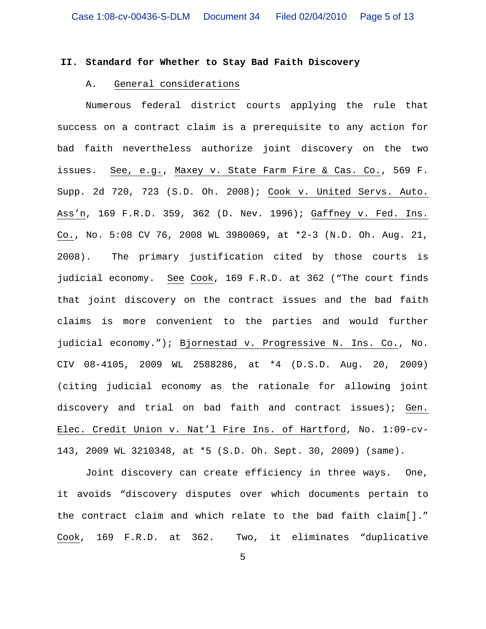# **II. Standard for Whether to Stay Bad Faith Discovery**

## A. General considerations

Numerous federal district courts applying the rule that success on a contract claim is a prerequisite to any action for bad faith nevertheless authorize joint discovery on the two issues. See, e.g., Maxey v. State Farm Fire & Cas. Co., 569 F. Supp. 2d 720, 723 (S.D. Oh. 2008); Cook v. United Servs. Auto. Ass'n, 169 F.R.D. 359, 362 (D. Nev. 1996); Gaffney v. Fed. Ins. Co., No. 5:08 CV 76, 2008 WL 3980069, at \*2-3 (N.D. Oh. Aug. 21, 2008). The primary justification cited by those courts is judicial economy. See Cook, 169 F.R.D. at 362 ("The court finds that joint discovery on the contract issues and the bad faith claims is more convenient to the parties and would further judicial economy."); Bjornestad v. Progressive N. Ins. Co., No. CIV 08-4105, 2009 WL 2588286, at \*4 (D.S.D. Aug. 20, 2009) (citing judicial economy as the rationale for allowing joint discovery and trial on bad faith and contract issues); Gen. Elec. Credit Union v. Nat'l Fire Ins. of Hartford, No. 1:09-cv-143, 2009 WL 3210348, at \*5 (S.D. Oh. Sept. 30, 2009) (same).

Joint discovery can create efficiency in three ways. One, it avoids "discovery disputes over which documents pertain to the contract claim and which relate to the bad faith claim[]." Cook, 169 F.R.D. at 362. Two, it eliminates "duplicative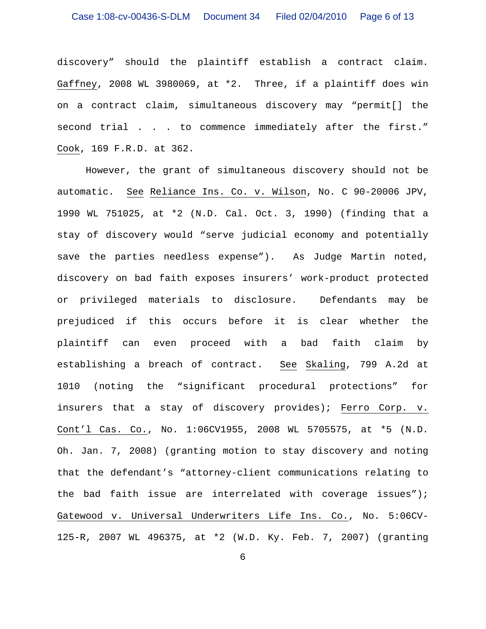discovery" should the plaintiff establish a contract claim. Gaffney, 2008 WL 3980069, at \*2. Three, if a plaintiff does win on a contract claim, simultaneous discovery may "permit[] the second trial . . . to commence immediately after the first." Cook, 169 F.R.D. at 362.

However, the grant of simultaneous discovery should not be automatic. See Reliance Ins. Co. v. Wilson, No. C 90-20006 JPV, 1990 WL 751025, at \*2 (N.D. Cal. Oct. 3, 1990) (finding that a stay of discovery would "serve judicial economy and potentially save the parties needless expense"). As Judge Martin noted, discovery on bad faith exposes insurers' work-product protected or privileged materials to disclosure. Defendants may be prejudiced if this occurs before it is clear whether the plaintiff can even proceed with a bad faith claim by establishing a breach of contract. See Skaling, 799 A.2d at 1010 (noting the "significant procedural protections" for insurers that a stay of discovery provides); Ferro Corp. v. Cont'l Cas. Co., No. 1:06CV1955, 2008 WL 5705575, at \*5 (N.D. Oh. Jan. 7, 2008) (granting motion to stay discovery and noting that the defendant's "attorney-client communications relating to the bad faith issue are interrelated with coverage issues"); Gatewood v. Universal Underwriters Life Ins. Co., No. 5:06CV-125-R, 2007 WL 496375, at \*2 (W.D. Ky. Feb. 7, 2007) (granting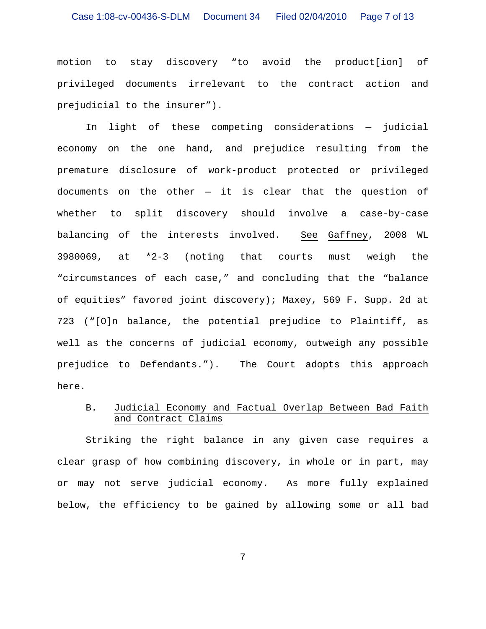### Case 1:08-cv-00436-S-DLM Document 34 Filed 02/04/2010 Page 7 of 13

motion to stay discovery "to avoid the product[ion] of privileged documents irrelevant to the contract action and prejudicial to the insurer").

In light of these competing considerations — judicial economy on the one hand, and prejudice resulting from the premature disclosure of work-product protected or privileged documents on the other  $-$  it is clear that the question of whether to split discovery should involve a case-by-case balancing of the interests involved. See Gaffney, 2008 WL 3980069, at \*2-3 (noting that courts must weigh the "circumstances of each case," and concluding that the "balance of equities" favored joint discovery); Maxey, 569 F. Supp. 2d at 723 ("[O]n balance, the potential prejudice to Plaintiff, as well as the concerns of judicial economy, outweigh any possible prejudice to Defendants."). The Court adopts this approach here.

# B. Judicial Economy and Factual Overlap Between Bad Faith and Contract Claims

Striking the right balance in any given case requires a clear grasp of how combining discovery, in whole or in part, may or may not serve judicial economy. As more fully explained below, the efficiency to be gained by allowing some or all bad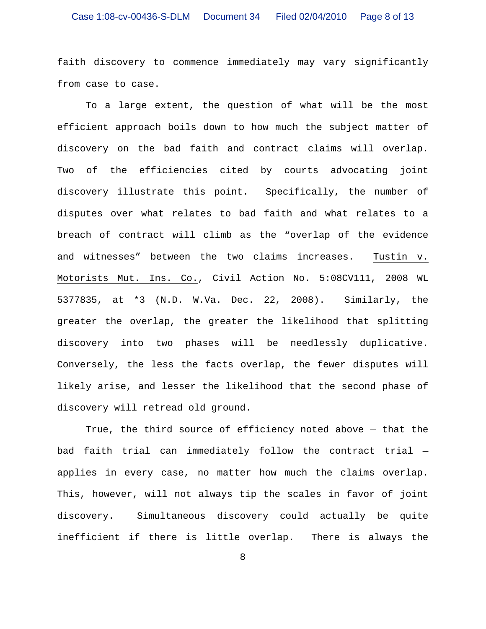faith discovery to commence immediately may vary significantly from case to case.

To a large extent, the question of what will be the most efficient approach boils down to how much the subject matter of discovery on the bad faith and contract claims will overlap. Two of the efficiencies cited by courts advocating joint discovery illustrate this point. Specifically, the number of disputes over what relates to bad faith and what relates to a breach of contract will climb as the "overlap of the evidence and witnesses" between the two claims increases. Tustin v. Motorists Mut. Ins. Co., Civil Action No. 5:08CV111, 2008 WL 5377835, at \*3 (N.D. W.Va. Dec. 22, 2008). Similarly, the greater the overlap, the greater the likelihood that splitting discovery into two phases will be needlessly duplicative. Conversely, the less the facts overlap, the fewer disputes will likely arise, and lesser the likelihood that the second phase of discovery will retread old ground.

True, the third source of efficiency noted above — that the bad faith trial can immediately follow the contract trial applies in every case, no matter how much the claims overlap. This, however, will not always tip the scales in favor of joint discovery. Simultaneous discovery could actually be quite inefficient if there is little overlap. There is always the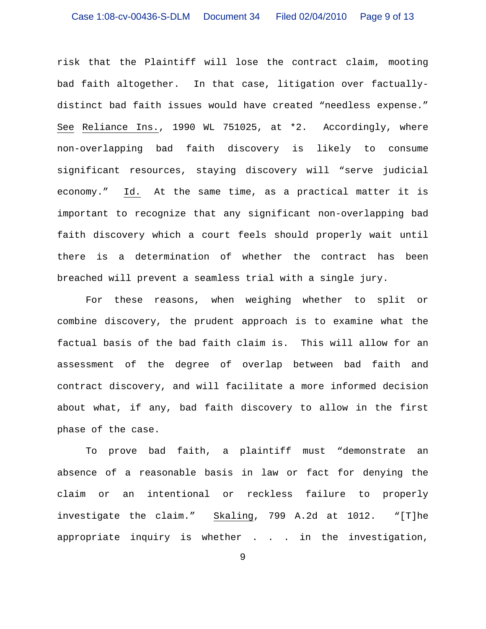risk that the Plaintiff will lose the contract claim, mooting bad faith altogether. In that case, litigation over factuallydistinct bad faith issues would have created "needless expense." See Reliance Ins., 1990 WL 751025, at \*2. Accordingly, where non-overlapping bad faith discovery is likely to consume significant resources, staying discovery will "serve judicial economy." Id. At the same time, as a practical matter it is important to recognize that any significant non-overlapping bad faith discovery which a court feels should properly wait until there is a determination of whether the contract has been breached will prevent a seamless trial with a single jury.

For these reasons, when weighing whether to split or combine discovery, the prudent approach is to examine what the factual basis of the bad faith claim is. This will allow for an assessment of the degree of overlap between bad faith and contract discovery, and will facilitate a more informed decision about what, if any, bad faith discovery to allow in the first phase of the case.

To prove bad faith, a plaintiff must "demonstrate an absence of a reasonable basis in law or fact for denying the claim or an intentional or reckless failure to properly investigate the claim." Skaling, 799 A.2d at 1012. "[T]he appropriate inquiry is whether . . . in the investigation,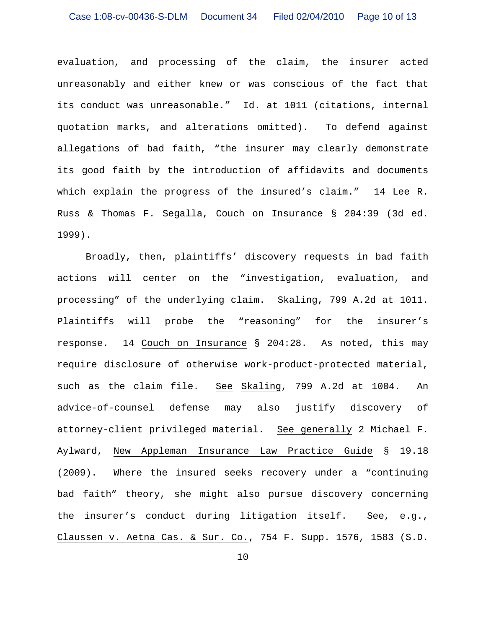evaluation, and processing of the claim, the insurer acted unreasonably and either knew or was conscious of the fact that its conduct was unreasonable." Id. at 1011 (citations, internal quotation marks, and alterations omitted). To defend against allegations of bad faith, "the insurer may clearly demonstrate its good faith by the introduction of affidavits and documents which explain the progress of the insured's claim." 14 Lee R. Russ & Thomas F. Segalla, Couch on Insurance § 204:39 (3d ed. 1999).

Broadly, then, plaintiffs' discovery requests in bad faith actions will center on the "investigation, evaluation, and processing" of the underlying claim. Skaling, 799 A.2d at 1011. Plaintiffs will probe the "reasoning" for the insurer's response. 14 Couch on Insurance § 204:28. As noted, this may require disclosure of otherwise work-product-protected material, such as the claim file. See Skaling, 799 A.2d at 1004. An advice-of-counsel defense may also justify discovery of attorney-client privileged material. See generally 2 Michael F. Aylward, New Appleman Insurance Law Practice Guide § 19.18 (2009). Where the insured seeks recovery under a "continuing bad faith" theory, she might also pursue discovery concerning the insurer's conduct during litigation itself. See, e.g., Claussen v. Aetna Cas. & Sur. Co., 754 F. Supp. 1576, 1583 (S.D.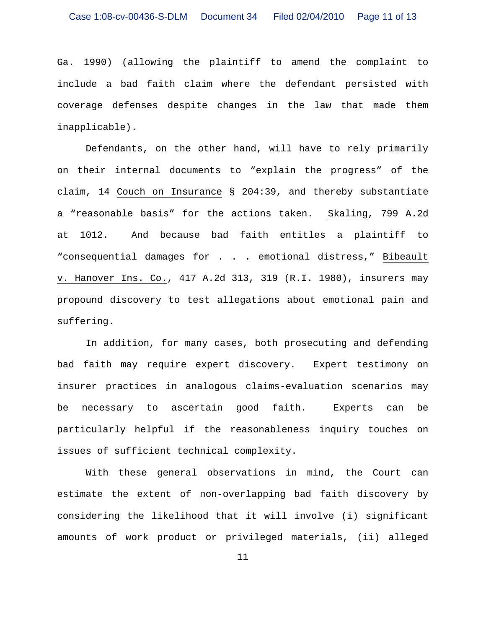Ga. 1990) (allowing the plaintiff to amend the complaint to include a bad faith claim where the defendant persisted with coverage defenses despite changes in the law that made them inapplicable).

Defendants, on the other hand, will have to rely primarily on their internal documents to "explain the progress" of the claim, 14 Couch on Insurance § 204:39, and thereby substantiate a "reasonable basis" for the actions taken. Skaling, 799 A.2d at 1012. And because bad faith entitles a plaintiff to "consequential damages for . . . emotional distress," Bibeault v. Hanover Ins. Co., 417 A.2d 313, 319 (R.I. 1980), insurers may propound discovery to test allegations about emotional pain and suffering.

In addition, for many cases, both prosecuting and defending bad faith may require expert discovery. Expert testimony on insurer practices in analogous claims-evaluation scenarios may be necessary to ascertain good faith. Experts can be particularly helpful if the reasonableness inquiry touches on issues of sufficient technical complexity.

With these general observations in mind, the Court can estimate the extent of non-overlapping bad faith discovery by considering the likelihood that it will involve (i) significant amounts of work product or privileged materials, (ii) alleged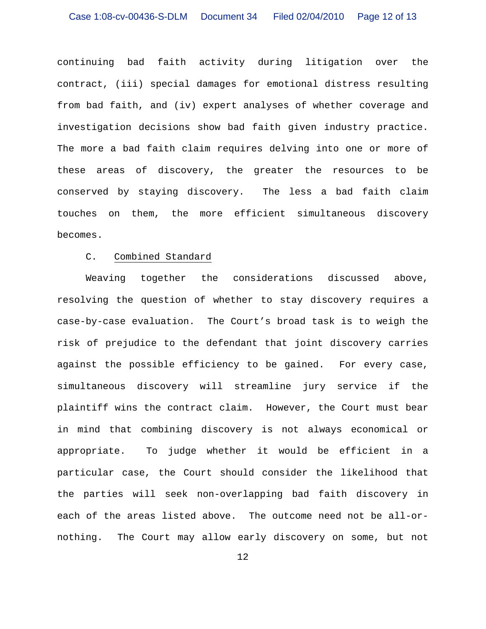continuing bad faith activity during litigation over the contract, (iii) special damages for emotional distress resulting from bad faith, and (iv) expert analyses of whether coverage and investigation decisions show bad faith given industry practice. The more a bad faith claim requires delving into one or more of these areas of discovery, the greater the resources to be conserved by staying discovery. The less a bad faith claim touches on them, the more efficient simultaneous discovery becomes.

#### C. Combined Standard

Weaving together the considerations discussed above, resolving the question of whether to stay discovery requires a case-by-case evaluation. The Court's broad task is to weigh the risk of prejudice to the defendant that joint discovery carries against the possible efficiency to be gained. For every case, simultaneous discovery will streamline jury service if the plaintiff wins the contract claim. However, the Court must bear in mind that combining discovery is not always economical or appropriate. To judge whether it would be efficient in a particular case, the Court should consider the likelihood that the parties will seek non-overlapping bad faith discovery in each of the areas listed above. The outcome need not be all-ornothing. The Court may allow early discovery on some, but not